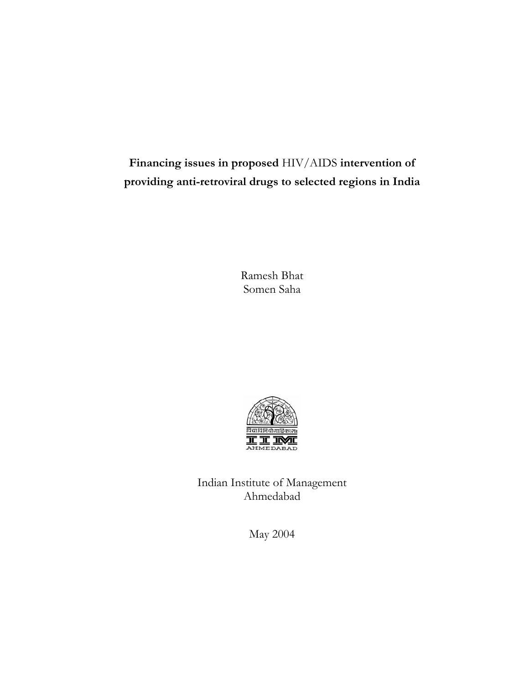# **Financing issues in proposed** HIV/AIDS **intervention of providing anti-retroviral drugs to selected regions in India**

Ramesh Bhat Somen Saha



Indian Institute of Management Ahmedabad

May 2004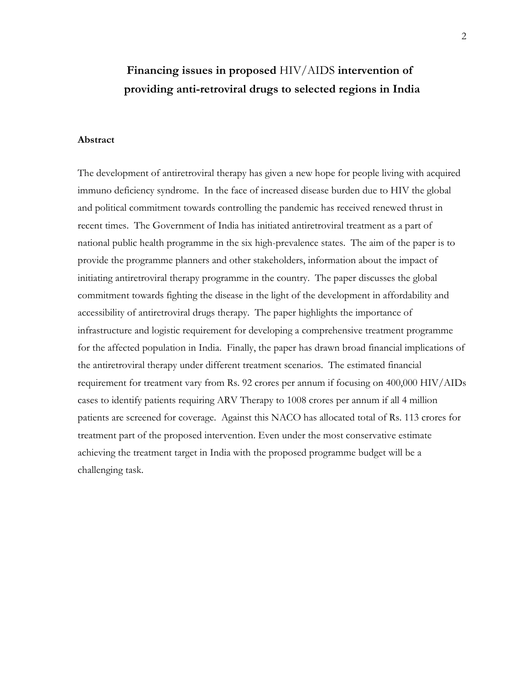# **Financing issues in proposed** HIV/AIDS **intervention of providing anti-retroviral drugs to selected regions in India**

## **Abstract**

The development of antiretroviral therapy has given a new hope for people living with acquired immuno deficiency syndrome. In the face of increased disease burden due to HIV the global and political commitment towards controlling the pandemic has received renewed thrust in recent times. The Government of India has initiated antiretroviral treatment as a part of national public health programme in the six high-prevalence states. The aim of the paper is to provide the programme planners and other stakeholders, information about the impact of initiating antiretroviral therapy programme in the country. The paper discusses the global commitment towards fighting the disease in the light of the development in affordability and accessibility of antiretroviral drugs therapy. The paper highlights the importance of infrastructure and logistic requirement for developing a comprehensive treatment programme for the affected population in India. Finally, the paper has drawn broad financial implications of the antiretroviral therapy under different treatment scenarios. The estimated financial requirement for treatment vary from Rs. 92 crores per annum if focusing on 400,000 HIV/AIDs cases to identify patients requiring ARV Therapy to 1008 crores per annum if all 4 million patients are screened for coverage. Against this NACO has allocated total of Rs. 113 crores for treatment part of the proposed intervention. Even under the most conservative estimate achieving the treatment target in India with the proposed programme budget will be a challenging task.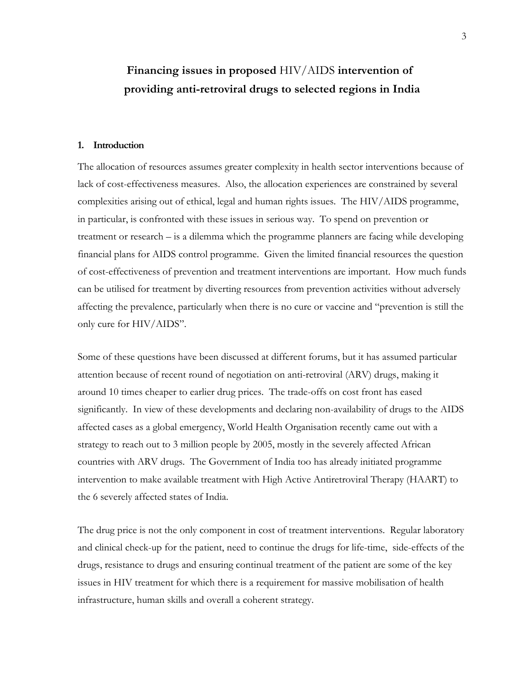# **Financing issues in proposed** HIV/AIDS **intervention of providing anti-retroviral drugs to selected regions in India**

#### **1. Introduction**

The allocation of resources assumes greater complexity in health sector interventions because of lack of cost-effectiveness measures. Also, the allocation experiences are constrained by several complexities arising out of ethical, legal and human rights issues. The HIV/AIDS programme, in particular, is confronted with these issues in serious way. To spend on prevention or treatment or research – is a dilemma which the programme planners are facing while developing financial plans for AIDS control programme. Given the limited financial resources the question of cost-effectiveness of prevention and treatment interventions are important. How much funds can be utilised for treatment by diverting resources from prevention activities without adversely affecting the prevalence, particularly when there is no cure or vaccine and "prevention is still the only cure for HIV/AIDS".

Some of these questions have been discussed at different forums, but it has assumed particular attention because of recent round of negotiation on anti-retroviral (ARV) drugs, making it around 10 times cheaper to earlier drug prices. The trade-offs on cost front has eased significantly. In view of these developments and declaring non-availability of drugs to the AIDS affected cases as a global emergency, World Health Organisation recently came out with a strategy to reach out to 3 million people by 2005, mostly in the severely affected African countries with ARV drugs. The Government of India too has already initiated programme intervention to make available treatment with High Active Antiretroviral Therapy (HAART) to the 6 severely affected states of India.

The drug price is not the only component in cost of treatment interventions. Regular laboratory and clinical check-up for the patient, need to continue the drugs for life-time, side-effects of the drugs, resistance to drugs and ensuring continual treatment of the patient are some of the key issues in HIV treatment for which there is a requirement for massive mobilisation of health infrastructure, human skills and overall a coherent strategy.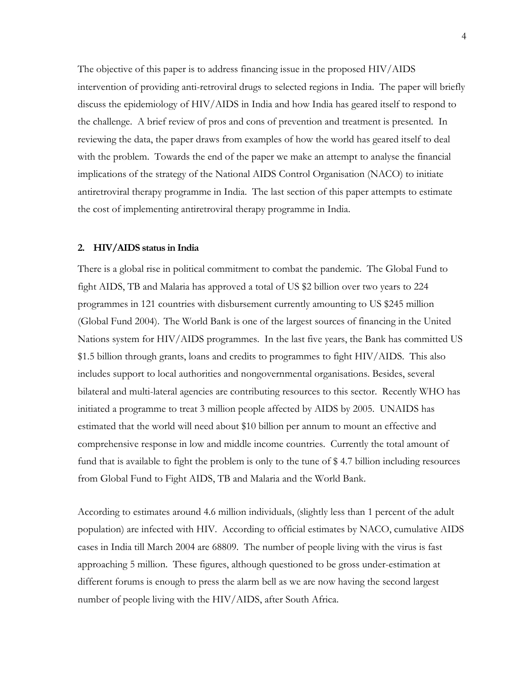The objective of this paper is to address financing issue in the proposed HIV/AIDS intervention of providing anti-retroviral drugs to selected regions in India. The paper will briefly discuss the epidemiology of HIV/AIDS in India and how India has geared itself to respond to the challenge. A brief review of pros and cons of prevention and treatment is presented. In reviewing the data, the paper draws from examples of how the world has geared itself to deal with the problem. Towards the end of the paper we make an attempt to analyse the financial implications of the strategy of the National AIDS Control Organisation (NACO) to initiate antiretroviral therapy programme in India. The last section of this paper attempts to estimate the cost of implementing antiretroviral therapy programme in India.

## **2. HIV/AIDS status in India**

There is a global rise in political commitment to combat the pandemic. The Global Fund to fight AIDS, TB and Malaria has approved a total of US \$2 billion over two years to 224 programmes in 121 countries with disbursement currently amounting to US \$245 million (Global Fund 2004). The World Bank is one of the largest sources of financing in the United Nations system for HIV/AIDS programmes. In the last five years, the Bank has committed US \$1.5 billion through grants, loans and credits to programmes to fight HIV/AIDS. This also includes support to local authorities and nongovernmental organisations. Besides, several bilateral and multi-lateral agencies are contributing resources to this sector. Recently WHO has initiated a programme to treat 3 million people affected by AIDS by 2005. UNAIDS has estimated that the world will need about \$10 billion per annum to mount an effective and comprehensive response in low and middle income countries. Currently the total amount of fund that is available to fight the problem is only to the tune of \$ 4.7 billion including resources from Global Fund to Fight AIDS, TB and Malaria and the World Bank.

According to estimates around 4.6 million individuals, (slightly less than 1 percent of the adult population) are infected with HIV. According to official estimates by NACO, cumulative AIDS cases in India till March 2004 are 68809. The number of people living with the virus is fast approaching 5 million. These figures, although questioned to be gross under-estimation at different forums is enough to press the alarm bell as we are now having the second largest number of people living with the HIV/AIDS, after South Africa.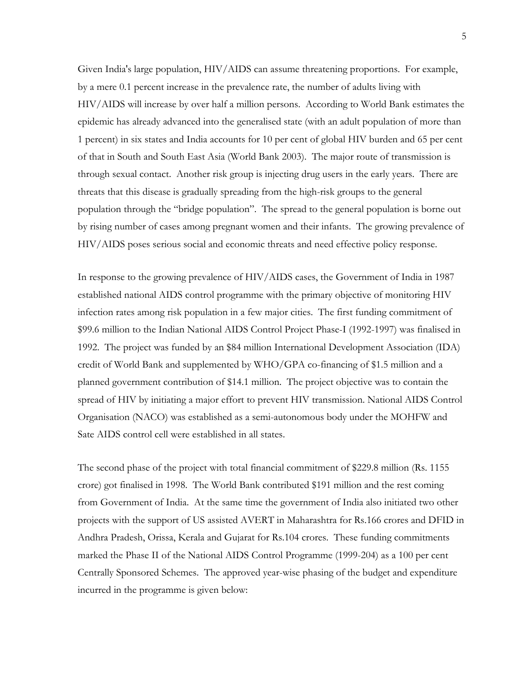Given India's large population, HIV/AIDS can assume threatening proportions. For example, by a mere 0.1 percent increase in the prevalence rate, the number of adults living with HIV/AIDS will increase by over half a million persons. According to World Bank estimates the epidemic has already advanced into the generalised state (with an adult population of more than 1 percent) in six states and India accounts for 10 per cent of global HIV burden and 65 per cent of that in South and South East Asia (World Bank 2003). The major route of transmission is through sexual contact. Another risk group is injecting drug users in the early years. There are threats that this disease is gradually spreading from the high-risk groups to the general population through the "bridge population". The spread to the general population is borne out by rising number of cases among pregnant women and their infants.The growing prevalence of HIV/AIDS poses serious social and economic threats and need effective policy response.

In response to the growing prevalence of HIV/AIDS cases, the Government of India in 1987 established national AIDS control programme with the primary objective of monitoring HIV infection rates among risk population in a few major cities. The first funding commitment of \$99.6 million to the Indian National AIDS Control Project Phase-I (1992-1997) was finalised in 1992. The project was funded by an \$84 million International Development Association (IDA) credit of World Bank and supplemented by WHO/GPA co-financing of \$1.5 million and a planned government contribution of \$14.1 million. The project objective was to contain the spread of HIV by initiating a major effort to prevent HIV transmission. National AIDS Control Organisation (NACO) was established as a semi-autonomous body under the MOHFW and Sate AIDS control cell were established in all states.

The second phase of the project with total financial commitment of \$229.8 million (Rs. 1155 crore) got finalised in 1998. The World Bank contributed \$191 million and the rest coming from Government of India. At the same time the government of India also initiated two other projects with the support of US assisted AVERT in Maharashtra for Rs.166 crores and DFID in Andhra Pradesh, Orissa, Kerala and Gujarat for Rs.104 crores. These funding commitments marked the Phase II of the National AIDS Control Programme (1999-204) as a 100 per cent Centrally Sponsored Schemes. The approved year-wise phasing of the budget and expenditure incurred in the programme is given below: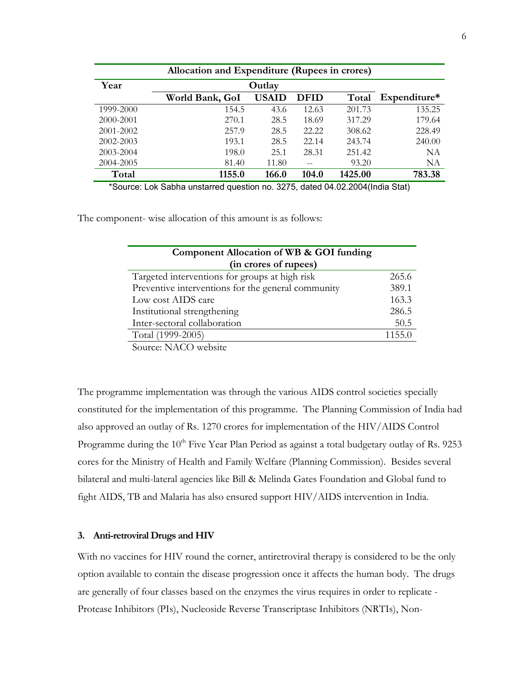| Allocation and Expenditure (Rupees in crores) |                 |              |             |         |              |
|-----------------------------------------------|-----------------|--------------|-------------|---------|--------------|
| Year                                          | Outlay          |              |             |         |              |
|                                               | World Bank, GoI | <b>USAID</b> | <b>DFID</b> | Total   | Expenditure* |
| 1999-2000                                     | 154.5           | 43.6         | 12.63       | 201.73  | 135.25       |
| 2000-2001                                     | 270.1           | 28.5         | 18.69       | 317.29  | 179.64       |
| 2001-2002                                     | 257.9           | 28.5         | 22.22       | 308.62  | 228.49       |
| 2002-2003                                     | 193.1           | 28.5         | 22.14       | 243.74  | 240.00       |
| 2003-2004                                     | 198.0           | 25.1         | 28.31       | 251.42  | NΑ           |
| 2004-2005                                     | 81.40           | 11.80        |             | 93.20   | NΑ           |
| Total                                         | 1155.0          | 166.0        | 104.0       | 1425.00 | 783.38       |

\*Source: Lok Sabha unstarred question no. 3275, dated 04.02.2004(India Stat)

The component- wise allocation of this amount is as follows:

| Component Allocation of WB & GOI funding           |        |
|----------------------------------------------------|--------|
| (in crores of rupees)                              |        |
| Targeted interventions for groups at high risk     | 265.6  |
| Preventive interventions for the general community | 389.1  |
| Low cost AIDS care                                 | 163.3  |
| Institutional strengthening                        | 286.5  |
| Inter-sectoral collaboration                       | 50.5   |
| Total (1999-2005)                                  | 1155.0 |
| $\sim$ $\sim$ $\sim$ $\sim$ $\sim$ $\sim$ $\sim$   |        |

Source: NACO website

The programme implementation was through the various AIDS control societies specially constituted for the implementation of this programme. The Planning Commission of India had also approved an outlay of Rs. 1270 crores for implementation of the HIV/AIDS Control Programme during the 10<sup>th</sup> Five Year Plan Period as against a total budgetary outlay of Rs. 9253 cores for the Ministry of Health and Family Welfare (Planning Commission). Besides several bilateral and multi-lateral agencies like Bill & Melinda Gates Foundation and Global fund to fight AIDS, TB and Malaria has also ensured support HIV/AIDS intervention in India.

## **3. Anti-retroviral Drugs and HIV**

With no vaccines for HIV round the corner, antiretroviral therapy is considered to be the only option available to contain the disease progression once it affects the human body. The drugs are generally of four classes based on the enzymes the virus requires in order to replicate - Protease Inhibitors (PIs), Nucleoside Reverse Transcriptase Inhibitors (NRTIs), Non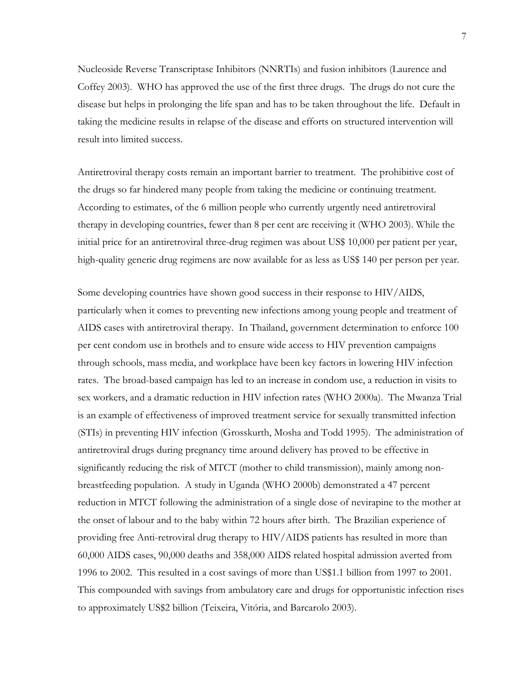Nucleoside Reverse Transcriptase Inhibitors (NNRTIs) and fusion inhibitors (Laurence and Coffey 2003). WHO has approved the use of the first three drugs. The drugs do not cure the disease but helps in prolonging the life span and has to be taken throughout the life. Default in taking the medicine results in relapse of the disease and efforts on structured intervention will result into limited success.

Antiretroviral therapy costs remain an important barrier to treatment. The prohibitive cost of the drugs so far hindered many people from taking the medicine or continuing treatment. According to estimates, of the 6 million people who currently urgently need antiretroviral therapy in developing countries, fewer than 8 per cent are receiving it (WHO 2003). While the initial price for an antiretroviral three-drug regimen was about US\$ 10,000 per patient per year, high-quality generic drug regimens are now available for as less as US\$ 140 per person per year.

Some developing countries have shown good success in their response to HIV/AIDS, particularly when it comes to preventing new infections among young people and treatment of AIDS cases with antiretroviral therapy. In Thailand, government determination to enforce 100 per cent condom use in brothels and to ensure wide access to HIV prevention campaigns through schools, mass media, and workplace have been key factors in lowering HIV infection rates. The broad-based campaign has led to an increase in condom use, a reduction in visits to sex workers, and a dramatic reduction in HIV infection rates (WHO 2000a). The Mwanza Trial is an example of effectiveness of improved treatment service for sexually transmitted infection (STIs) in preventing HIV infection (Grosskurth, Mosha and Todd 1995). The administration of antiretroviral drugs during pregnancy time around delivery has proved to be effective in significantly reducing the risk of MTCT (mother to child transmission), mainly among nonbreastfeeding population. A study in Uganda (WHO 2000b) demonstrated a 47 percent reduction in MTCT following the administration of a single dose of nevirapine to the mother at the onset of labour and to the baby within 72 hours after birth. The Brazilian experience of providing free Anti-retroviral drug therapy to HIV/AIDS patients has resulted in more than 60,000 AIDS cases, 90,000 deaths and 358,000 AIDS related hospital admission averted from 1996 to 2002. This resulted in a cost savings of more than US\$1.1 billion from 1997 to 2001. This compounded with savings from ambulatory care and drugs for opportunistic infection rises to approximately US\$2 billion (Teixeira, Vitória, and Barcarolo 2003).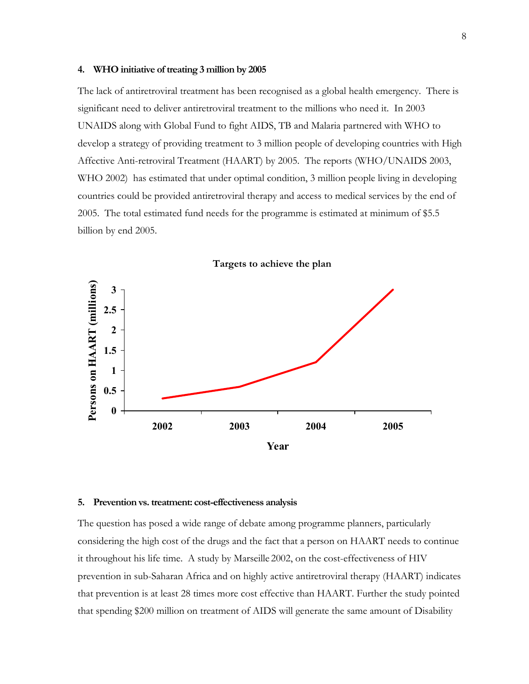#### **4. WHO initiative of treating 3 million by 2005**

The lack of antiretroviral treatment has been recognised as a global health emergency. There is significant need to deliver antiretroviral treatment to the millions who need it. In 2003 UNAIDS along with Global Fund to fight AIDS, TB and Malaria partnered with WHO to develop a strategy of providing treatment to 3 million people of developing countries with High Affective Anti-retroviral Treatment (HAART) by 2005. The reports (WHO/UNAIDS 2003, WHO 2002) has estimated that under optimal condition, 3 million people living in developing countries could be provided antiretroviral therapy and access to medical services by the end of 2005. The total estimated fund needs for the programme is estimated at minimum of \$5.5 billion by end 2005.



## **Targets to achieve the plan**

#### **5. Prevention vs. treatment: cost-effectiveness analysis**

The question has posed a wide range of debate among programme planners, particularly considering the high cost of the drugs and the fact that a person on HAART needs to continue it throughout his life time. A study by Marseille 2002, on the cost-effectiveness of HIV prevention in sub-Saharan Africa and on highly active antiretroviral therapy (HAART) indicates that prevention is at least 28 times more cost effective than HAART. Further the study pointed that spending \$200 million on treatment of AIDS will generate the same amount of Disability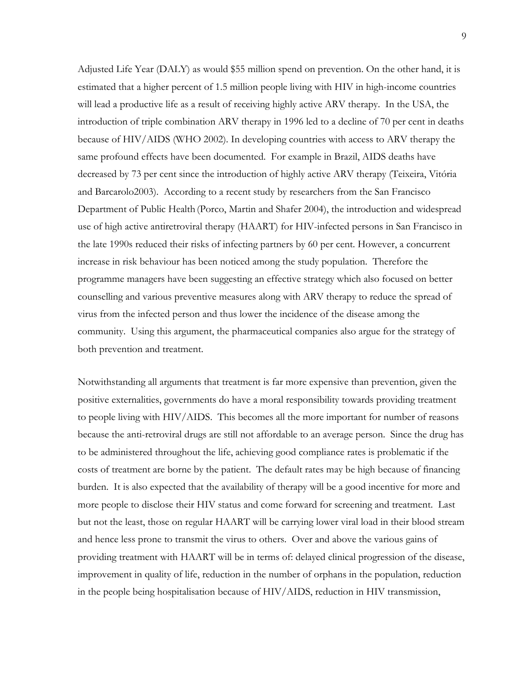Adjusted Life Year (DALY) as would \$55 million spend on prevention. On the other hand, it is estimated that a higher percent of 1.5 million people living with HIV in high-income countries will lead a productive life as a result of receiving highly active ARV therapy. In the USA, the introduction of triple combination ARV therapy in 1996 led to a decline of 70 per cent in deaths because of HIV/AIDS (WHO 2002). In developing countries with access to ARV therapy the same profound effects have been documented. For example in Brazil, AIDS deaths have decreased by 73 per cent since the introduction of highly active ARV therapy (Teixeira, Vitória and Barcarolo2003). According to a recent study by researchers from the San Francisco Department of Public Health (Porco, Martin and Shafer 2004), the introduction and widespread use of high active antiretroviral therapy (HAART) for HIV-infected persons in San Francisco in the late 1990s reduced their risks of infecting partners by 60 per cent. However, a concurrent increase in risk behaviour has been noticed among the study population. Therefore the programme managers have been suggesting an effective strategy which also focused on better counselling and various preventive measures along with ARV therapy to reduce the spread of virus from the infected person and thus lower the incidence of the disease among the community. Using this argument, the pharmaceutical companies also argue for the strategy of both prevention and treatment.

Notwithstanding all arguments that treatment is far more expensive than prevention, given the positive externalities, governments do have a moral responsibility towards providing treatment to people living with HIV/AIDS. This becomes all the more important for number of reasons because the anti-retroviral drugs are still not affordable to an average person. Since the drug has to be administered throughout the life, achieving good compliance rates is problematic if the costs of treatment are borne by the patient. The default rates may be high because of financing burden. It is also expected that the availability of therapy will be a good incentive for more and more people to disclose their HIV status and come forward for screening and treatment. Last but not the least, those on regular HAART will be carrying lower viral load in their blood stream and hence less prone to transmit the virus to others. Over and above the various gains of providing treatment with HAART will be in terms of: delayed clinical progression of the disease, improvement in quality of life, reduction in the number of orphans in the population, reduction in the people being hospitalisation because of HIV/AIDS, reduction in HIV transmission,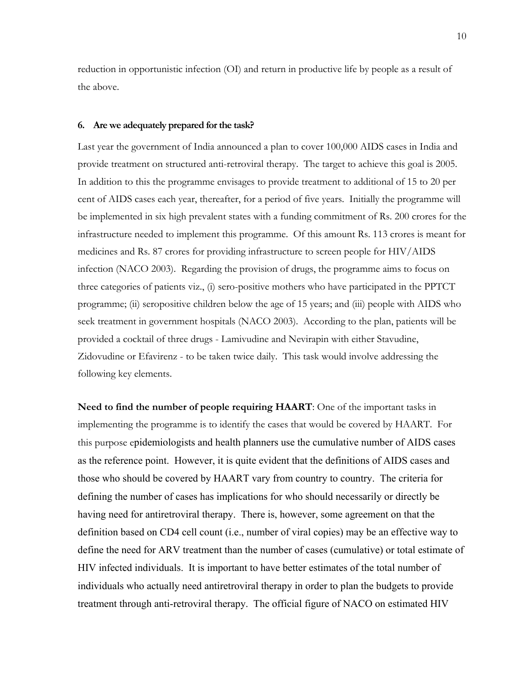reduction in opportunistic infection (OI) and return in productive life by people as a result of the above.

#### **6. Are we adequately prepared for the task?**

Last year the government of India announced a plan to cover 100,000 AIDS cases in India and provide treatment on structured anti-retroviral therapy. The target to achieve this goal is 2005. In addition to this the programme envisages to provide treatment to additional of 15 to 20 per cent of AIDS cases each year, thereafter, for a period of five years. Initially the programme will be implemented in six high prevalent states with a funding commitment of Rs. 200 crores for the infrastructure needed to implement this programme. Of this amount Rs. 113 crores is meant for medicines and Rs. 87 crores for providing infrastructure to screen people for HIV/AIDS infection (NACO 2003). Regarding the provision of drugs, the programme aims to focus on three categories of patients viz., (i) sero-positive mothers who have participated in the PPTCT programme; (ii) seropositive children below the age of 15 years; and (iii) people with AIDS who seek treatment in government hospitals (NACO 2003). According to the plan, patients will be provided a cocktail of three drugs - Lamivudine and Nevirapin with either Stavudine, Zidovudine or Efavirenz - to be taken twice daily. This task would involve addressing the following key elements.

**Need to find the number of people requiring HAART**: One of the important tasks in implementing the programme is to identify the cases that would be covered by HAART. For this purpose epidemiologists and health planners use the cumulative number of AIDS cases as the reference point. However, it is quite evident that the definitions of AIDS cases and those who should be covered by HAART vary from country to country. The criteria for defining the number of cases has implications for who should necessarily or directly be having need for antiretroviral therapy. There is, however, some agreement on that the definition based on CD4 cell count (i.e., number of viral copies) may be an effective way to define the need for ARV treatment than the number of cases (cumulative) or total estimate of HIV infected individuals. It is important to have better estimates of the total number of individuals who actually need antiretroviral therapy in order to plan the budgets to provide treatment through anti-retroviral therapy. The official figure of NACO on estimated HIV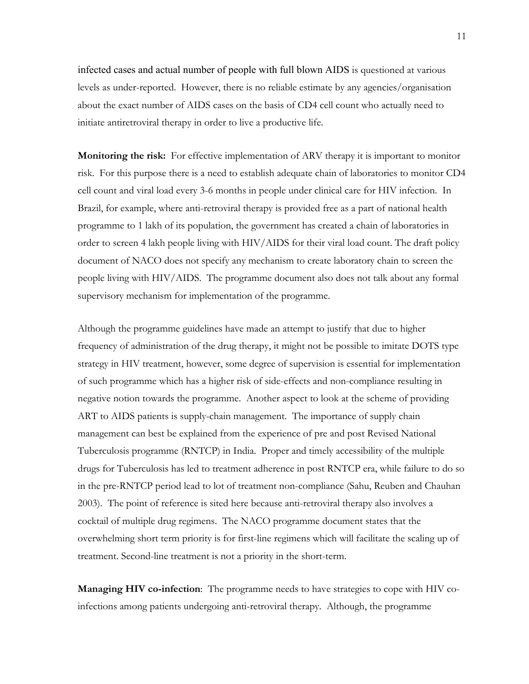infected cases and actual number of people with full blown AIDS is questioned at various levels as under-reported. However, there is no reliable estimate by any agencies/organisation about the exact number of AIDS cases on the basis of CD4 cell count who actually need to initiate antiretroviral therapy in order to live a productive life.

**Monitoring the risk:** For effective implementation of ARV therapy it is important to monitor risk. For this purpose there is a need to establish adequate chain of laboratories to monitor CD4 cell count and viral load every 3-6 months in people under clinical care for HIV infection. In Brazil, for example, where anti-retroviral therapy is provided free as a part of national health programme to 1 lakh of its population, the government has created a chain of laboratories in order to screen 4 lakh people living with HIV/AIDS for their viral load count. The draft policy document of NACO does not specify any mechanism to create laboratory chain to screen the people living with HIV/AIDS. The programme document also does not talk about any formal supervisory mechanism for implementation of the programme.

Although the programme guidelines have made an attempt to justify that due to higher frequency of administration of the drug therapy, it might not be possible to imitate DOTS type strategy in HIV treatment, however, some degree of supervision is essential for implementation of such programme which has a higher risk of side-effects and non-compliance resulting in negative notion towards the programme. Another aspect to look at the scheme of providing ART to AIDS patients is supply-chain management. The importance of supply chain management can best be explained from the experience of pre and post Revised National Tuberculosis programme (RNTCP) in India. Proper and timely accessibility of the multiple drugs for Tuberculosis has led to treatment adherence in post RNTCP era, while failure to do so in the pre-RNTCP period lead to lot of treatment non-compliance (Sahu, Reuben and Chauhan 2003). The point of reference is sited here because anti-retroviral therapy also involves a cocktail of multiple drug regimens. The NACO programme document states that the overwhelming short term priority is for first-line regimens which will facilitate the scaling up of treatment. Second-line treatment is not a priority in the short-term.

**Managing HIV co-infection**: The programme needs to have strategies to cope with HIV coinfections among patients undergoing anti-retroviral therapy. Although, the programme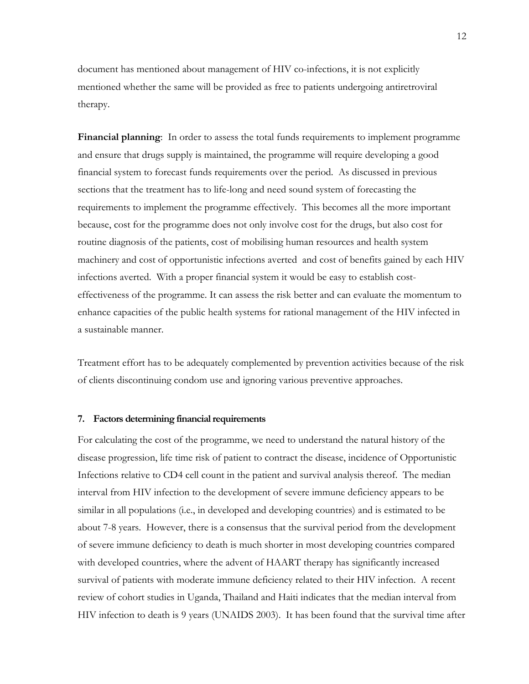document has mentioned about management of HIV co-infections, it is not explicitly mentioned whether the same will be provided as free to patients undergoing antiretroviral therapy.

**Financial planning**: In order to assess the total funds requirements to implement programme and ensure that drugs supply is maintained, the programme will require developing a good financial system to forecast funds requirements over the period. As discussed in previous sections that the treatment has to life-long and need sound system of forecasting the requirements to implement the programme effectively. This becomes all the more important because, cost for the programme does not only involve cost for the drugs, but also cost for routine diagnosis of the patients, cost of mobilising human resources and health system machinery and cost of opportunistic infections averted and cost of benefits gained by each HIV infections averted. With a proper financial system it would be easy to establish costeffectiveness of the programme. It can assess the risk better and can evaluate the momentum to enhance capacities of the public health systems for rational management of the HIV infected in a sustainable manner.

Treatment effort has to be adequately complemented by prevention activities because of the risk of clients discontinuing condom use and ignoring various preventive approaches.

#### **7. Factors determining financial requirements**

For calculating the cost of the programme, we need to understand the natural history of the disease progression, life time risk of patient to contract the disease, incidence of Opportunistic Infections relative to CD4 cell count in the patient and survival analysis thereof. The median interval from HIV infection to the development of severe immune deficiency appears to be similar in all populations (i.e., in developed and developing countries) and is estimated to be about 7-8 years. However, there is a consensus that the survival period from the development of severe immune deficiency to death is much shorter in most developing countries compared with developed countries, where the advent of HAART therapy has significantly increased survival of patients with moderate immune deficiency related to their HIV infection. A recent review of cohort studies in Uganda, Thailand and Haiti indicates that the median interval from HIV infection to death is 9 years (UNAIDS 2003). It has been found that the survival time after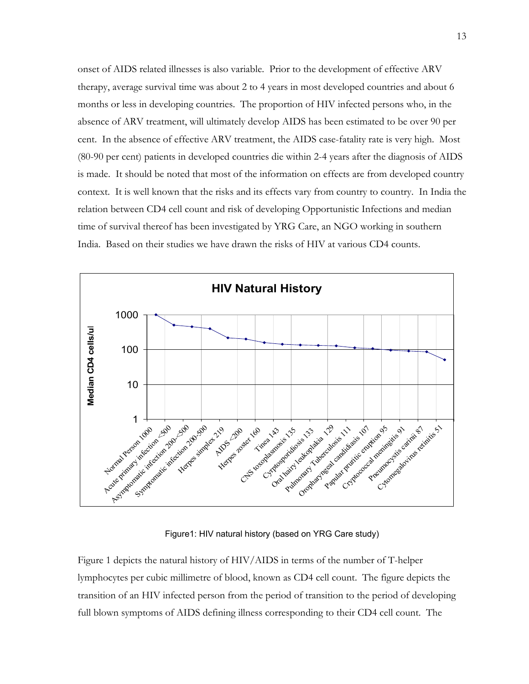onset of AIDS related illnesses is also variable. Prior to the development of effective ARV therapy, average survival time was about 2 to 4 years in most developed countries and about 6 months or less in developing countries. The proportion of HIV infected persons who, in the absence of ARV treatment, will ultimately develop AIDS has been estimated to be over 90 per cent. In the absence of effective ARV treatment, the AIDS case-fatality rate is very high. Most (80-90 per cent) patients in developed countries die within 2-4 years after the diagnosis of AIDS is made. It should be noted that most of the information on effects are from developed country context. It is well known that the risks and its effects vary from country to country. In India the relation between CD4 cell count and risk of developing Opportunistic Infections and median time of survival thereof has been investigated by YRG Care, an NGO working in southern India. Based on their studies we have drawn the risks of HIV at various CD4 counts.



#### Figure1: HIV natural history (based on YRG Care study)

Figure 1 depicts the natural history of HIV/AIDS in terms of the number of T-helper lymphocytes per cubic millimetre of blood, known as CD4 cell count. The figure depicts the transition of an HIV infected person from the period of transition to the period of developing full blown symptoms of AIDS defining illness corresponding to their CD4 cell count. The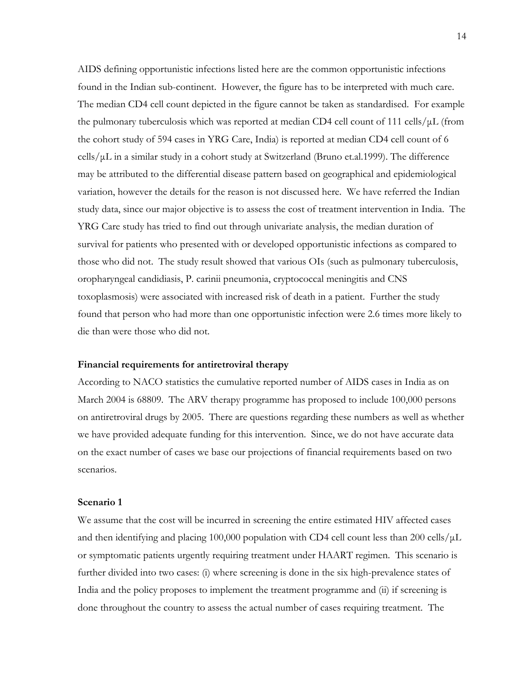AIDS defining opportunistic infections listed here are the common opportunistic infections found in the Indian sub-continent. However, the figure has to be interpreted with much care. The median CD4 cell count depicted in the figure cannot be taken as standardised. For example the pulmonary tuberculosis which was reported at median CD4 cell count of 111 cells/ $\mu$ L (from the cohort study of 594 cases in YRG Care, India) is reported at median CD4 cell count of 6  $\text{cells}/\mu\text{L}$  in a similar study in a cohort study at Switzerland (Bruno et.al.1999). The difference may be attributed to the differential disease pattern based on geographical and epidemiological variation, however the details for the reason is not discussed here. We have referred the Indian study data, since our major objective is to assess the cost of treatment intervention in India. The YRG Care study has tried to find out through univariate analysis, the median duration of survival for patients who presented with or developed opportunistic infections as compared to those who did not. The study result showed that various OIs (such as pulmonary tuberculosis, oropharyngeal candidiasis, P. carinii pneumonia, cryptococcal meningitis and CNS toxoplasmosis) were associated with increased risk of death in a patient. Further the study found that person who had more than one opportunistic infection were 2.6 times more likely to die than were those who did not.

## **Financial requirements for antiretroviral therapy**

According to NACO statistics the cumulative reported number of AIDS cases in India as on March 2004 is 68809. The ARV therapy programme has proposed to include 100,000 persons on antiretroviral drugs by 2005. There are questions regarding these numbers as well as whether we have provided adequate funding for this intervention. Since, we do not have accurate data on the exact number of cases we base our projections of financial requirements based on two scenarios.

## **Scenario 1**

We assume that the cost will be incurred in screening the entire estimated HIV affected cases and then identifying and placing 100,000 population with CD4 cell count less than 200 cells/ $\mu$ L or symptomatic patients urgently requiring treatment under HAART regimen. This scenario is further divided into two cases: (i) where screening is done in the six high-prevalence states of India and the policy proposes to implement the treatment programme and (ii) if screening is done throughout the country to assess the actual number of cases requiring treatment. The

14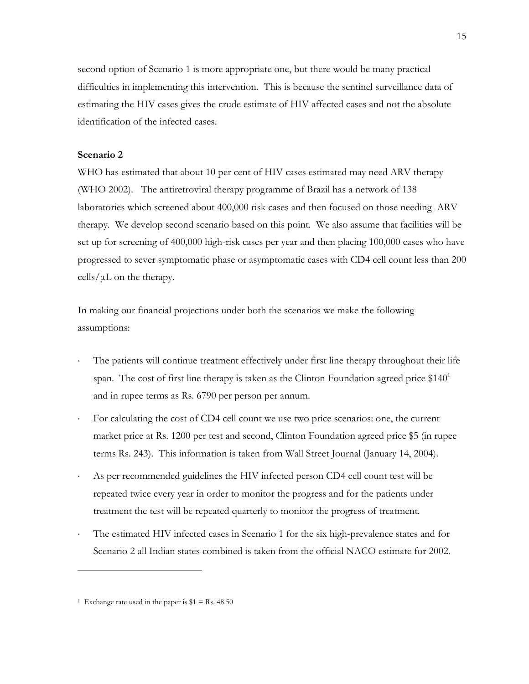second option of Scenario 1 is more appropriate one, but there would be many practical difficulties in implementing this intervention. This is because the sentinel surveillance data of estimating the HIV cases gives the crude estimate of HIV affected cases and not the absolute identification of the infected cases.

# **Scenario 2**

WHO has estimated that about 10 per cent of HIV cases estimated may need ARV therapy (WHO 2002). The antiretroviral therapy programme of Brazil has a network of 138 laboratories which screened about 400,000 risk cases and then focused on those needing ARV therapy. We develop second scenario based on this point. We also assume that facilities will be set up for screening of 400,000 high-risk cases per year and then placing 100,000 cases who have progressed to sever symptomatic phase or asymptomatic cases with CD4 cell count less than 200 cells/ $\mu$ L on the therapy.

In making our financial projections under both the scenarios we make the following assumptions:

- The patients will continue treatment effectively under first line therapy throughout their life span. The cost of first line therapy is taken as the Clinton Foundation agreed price  $$140<sup>1</sup>$ and in rupee terms as Rs. 6790 per person per annum.
- For calculating the cost of CD4 cell count we use two price scenarios: one, the current market price at Rs. 1200 per test and second, Clinton Foundation agreed price \$5 (in rupee terms Rs. 243). This information is taken from Wall Street Journal (January 14, 2004).
- As per recommended guidelines the HIV infected person CD4 cell count test will be repeated twice every year in order to monitor the progress and for the patients under treatment the test will be repeated quarterly to monitor the progress of treatment.
- The estimated HIV infected cases in Scenario 1 for the six high-prevalence states and for Scenario 2 all Indian states combined is taken from the official NACO estimate for 2002.

 $\overline{a}$ 

<sup>&</sup>lt;sup>1</sup> Exchange rate used in the paper is  $$1 = Rs. 48.50$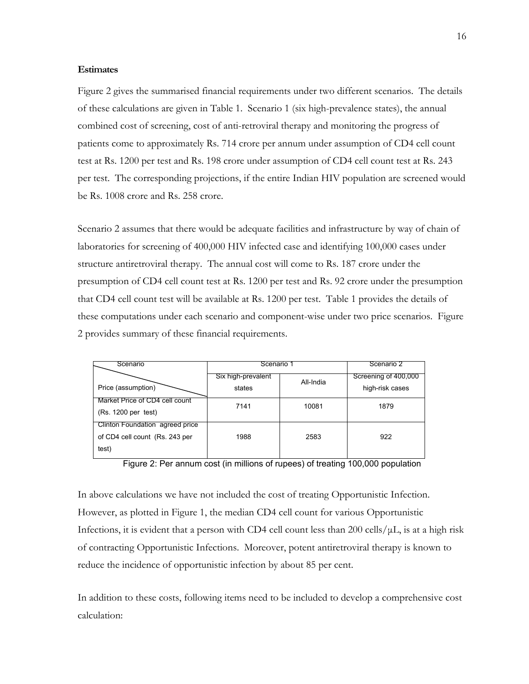## **Estimates**

Figure 2 gives the summarised financial requirements under two different scenarios. The details of these calculations are given in Table 1. Scenario 1 (six high-prevalence states), the annual combined cost of screening, cost of anti-retroviral therapy and monitoring the progress of patients come to approximately Rs. 714 crore per annum under assumption of CD4 cell count test at Rs. 1200 per test and Rs. 198 crore under assumption of CD4 cell count test at Rs. 243 per test. The corresponding projections, if the entire Indian HIV population are screened would be Rs. 1008 crore and Rs. 258 crore.

Scenario 2 assumes that there would be adequate facilities and infrastructure by way of chain of laboratories for screening of 400,000 HIV infected case and identifying 100,000 cases under structure antiretroviral therapy. The annual cost will come to Rs. 187 crore under the presumption of CD4 cell count test at Rs. 1200 per test and Rs. 92 crore under the presumption that CD4 cell count test will be available at Rs. 1200 per test. Table 1 provides the details of these computations under each scenario and component-wise under two price scenarios. Figure 2 provides summary of these financial requirements.

| Scenario                                                                   | Scenario 1                   |           | Scenario 2                              |
|----------------------------------------------------------------------------|------------------------------|-----------|-----------------------------------------|
| Price (assumption)                                                         | Six high-prevalent<br>states | All-India | Screening of 400,000<br>high-risk cases |
| Market Price of CD4 cell count<br>(Rs. 1200 per test)                      | 7141                         | 10081     | 1879                                    |
| Clinton Foundation agreed price<br>of CD4 cell count (Rs. 243 per<br>test) | 1988                         | 2583      | 922                                     |



In above calculations we have not included the cost of treating Opportunistic Infection. However, as plotted in Figure 1, the median CD4 cell count for various Opportunistic Infections, it is evident that a person with CD4 cell count less than 200 cells/ $\mu$ L, is at a high risk of contracting Opportunistic Infections. Moreover, potent antiretroviral therapy is known to reduce the incidence of opportunistic infection by about 85 per cent.

In addition to these costs, following items need to be included to develop a comprehensive cost calculation: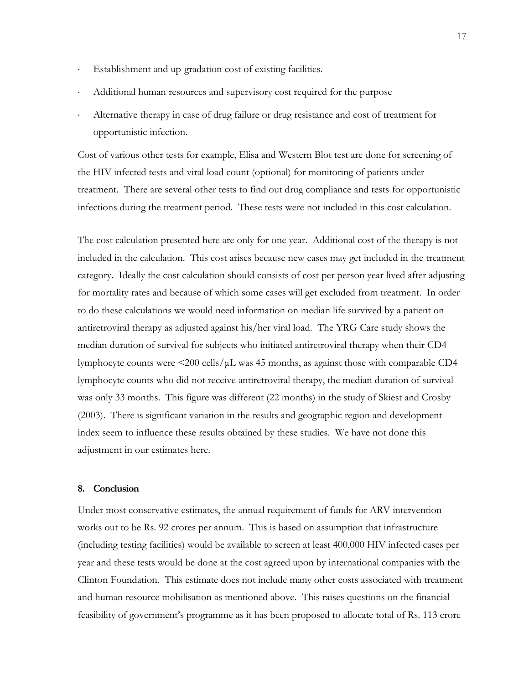- Establishment and up-gradation cost of existing facilities.
- Additional human resources and supervisory cost required for the purpose
- Alternative therapy in case of drug failure or drug resistance and cost of treatment for opportunistic infection.

Cost of various other tests for example, Elisa and Western Blot test are done for screening of the HIV infected tests and viral load count (optional) for monitoring of patients under treatment. There are several other tests to find out drug compliance and tests for opportunistic infections during the treatment period. These tests were not included in this cost calculation.

The cost calculation presented here are only for one year. Additional cost of the therapy is not included in the calculation. This cost arises because new cases may get included in the treatment category. Ideally the cost calculation should consists of cost per person year lived after adjusting for mortality rates and because of which some cases will get excluded from treatment. In order to do these calculations we would need information on median life survived by a patient on antiretroviral therapy as adjusted against his/her viral load. The YRG Care study shows the median duration of survival for subjects who initiated antiretroviral therapy when their CD4 lymphocyte counts were  $\langle 200 \text{ cells/}\mu L \rangle$  was 45 months, as against those with comparable CD4 lymphocyte counts who did not receive antiretroviral therapy, the median duration of survival was only 33 months. This figure was different (22 months) in the study of Skiest and Crosby (2003). There is significant variation in the results and geographic region and development index seem to influence these results obtained by these studies. We have not done this adjustment in our estimates here.

#### **8. Conclusion**

Under most conservative estimates, the annual requirement of funds for ARV intervention works out to be Rs. 92 crores per annum. This is based on assumption that infrastructure (including testing facilities) would be available to screen at least 400,000 HIV infected cases per year and these tests would be done at the cost agreed upon by international companies with the Clinton Foundation. This estimate does not include many other costs associated with treatment and human resource mobilisation as mentioned above. This raises questions on the financial feasibility of government's programme as it has been proposed to allocate total of Rs. 113 crore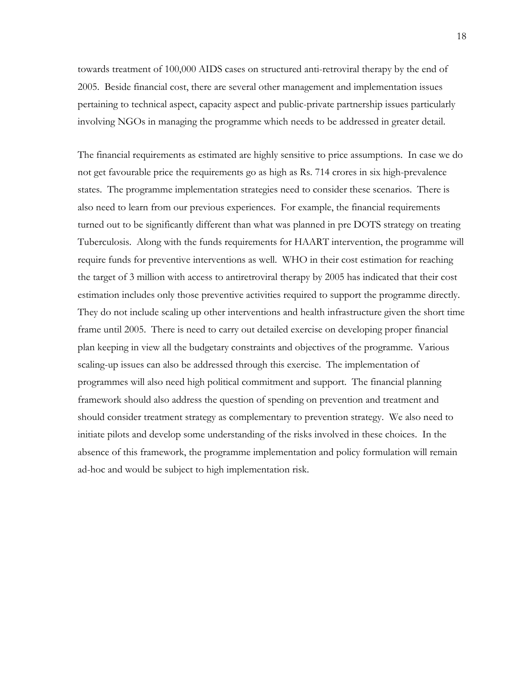towards treatment of 100,000 AIDS cases on structured anti-retroviral therapy by the end of 2005. Beside financial cost, there are several other management and implementation issues pertaining to technical aspect, capacity aspect and public-private partnership issues particularly involving NGOs in managing the programme which needs to be addressed in greater detail.

The financial requirements as estimated are highly sensitive to price assumptions. In case we do not get favourable price the requirements go as high as Rs. 714 crores in six high-prevalence states. The programme implementation strategies need to consider these scenarios. There is also need to learn from our previous experiences. For example, the financial requirements turned out to be significantly different than what was planned in pre DOTS strategy on treating Tuberculosis. Along with the funds requirements for HAART intervention, the programme will require funds for preventive interventions as well. WHO in their cost estimation for reaching the target of 3 million with access to antiretroviral therapy by 2005 has indicated that their cost estimation includes only those preventive activities required to support the programme directly. They do not include scaling up other interventions and health infrastructure given the short time frame until 2005. There is need to carry out detailed exercise on developing proper financial plan keeping in view all the budgetary constraints and objectives of the programme. Various scaling-up issues can also be addressed through this exercise. The implementation of programmes will also need high political commitment and support. The financial planning framework should also address the question of spending on prevention and treatment and should consider treatment strategy as complementary to prevention strategy. We also need to initiate pilots and develop some understanding of the risks involved in these choices. In the absence of this framework, the programme implementation and policy formulation will remain ad-hoc and would be subject to high implementation risk.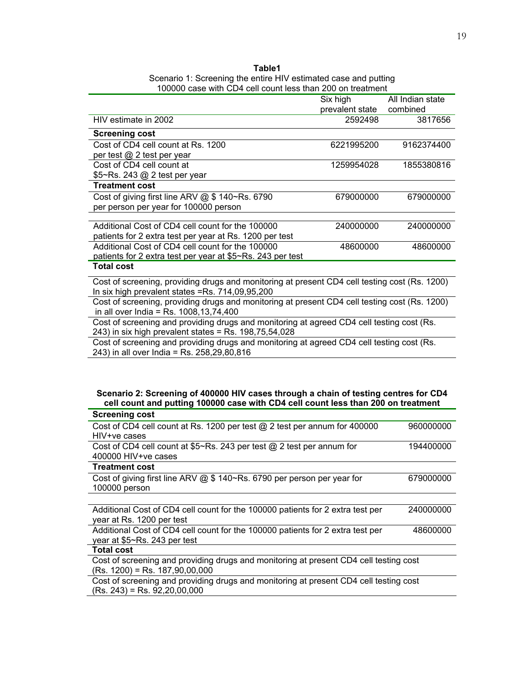| Table1                                                          |
|-----------------------------------------------------------------|
| Scenario 1: Screening the entire HIV estimated case and putting |
| 100000 case with CD4 cell count less than 200 on treatment      |

|                                                                                               | Six high        | All Indian state |
|-----------------------------------------------------------------------------------------------|-----------------|------------------|
|                                                                                               | prevalent state | combined         |
| HIV estimate in 2002                                                                          | 2592498         | 3817656          |
| <b>Screening cost</b>                                                                         |                 |                  |
| Cost of CD4 cell count at Rs. 1200                                                            | 6221995200      | 9162374400       |
| per test @ 2 test per year                                                                    |                 |                  |
| Cost of CD4 cell count at                                                                     | 1259954028      | 1855380816       |
| \$5~Rs. 243 @ 2 test per year                                                                 |                 |                  |
| <b>Treatment cost</b>                                                                         |                 |                  |
| Cost of giving first line ARV $@$ \$ 140~Rs. 6790                                             | 679000000       | 679000000        |
| per person per year for 100000 person                                                         |                 |                  |
|                                                                                               |                 |                  |
| Additional Cost of CD4 cell count for the 100000                                              | 240000000       | 240000000        |
| patients for 2 extra test per year at Rs. 1200 per test                                       |                 |                  |
| Additional Cost of CD4 cell count for the 100000                                              | 48600000        | 48600000         |
| patients for 2 extra test per year at \$5~Rs. 243 per test                                    |                 |                  |
| <b>Total cost</b>                                                                             |                 |                  |
| Cost of screening, providing drugs and monitoring at present CD4 cell testing cost (Rs. 1200) |                 |                  |
| In six high prevalent states = Rs. 714,09,95,200                                              |                 |                  |
| Cost of screening, providing drugs and monitoring at present CD4 cell testing cost (Rs. 1200) |                 |                  |
| in all over India = Rs. $1008, 13, 74, 400$                                                   |                 |                  |
| Cost of screening and providing drugs and monitoring at agreed CD4 cell testing cost (Rs.     |                 |                  |
| 243) in six high prevalent states = Rs. $198,75,54,028$                                       |                 |                  |

Cost of screening and providing drugs and monitoring at agreed CD4 cell testing cost (Rs. 243) in all over India = Rs. 258, 29, 80, 816

#### **Scenario 2: Screening of 400000 HIV cases through a chain of testing centres for CD4 cell count and putting 100000 case with CD4 cell count less than 200 on treatment**

| <b>Screening cost</b>                                                                 |           |
|---------------------------------------------------------------------------------------|-----------|
| Cost of CD4 cell count at Rs. 1200 per test @ 2 test per annum for 400000             | 960000000 |
| HIV+ve cases                                                                          |           |
| Cost of CD4 cell count at \$5~Rs. 243 per test @ 2 test per annum for                 | 194400000 |
| 400000 HIV+ve cases                                                                   |           |
| <b>Treatment cost</b>                                                                 |           |
| Cost of giving first line ARV @ \$ 140~Rs. 6790 per person per year for               | 679000000 |
| 100000 person                                                                         |           |
|                                                                                       |           |
| Additional Cost of CD4 cell count for the 100000 patients for 2 extra test per        | 240000000 |
| year at Rs. 1200 per test                                                             |           |
| Additional Cost of CD4 cell count for the 100000 patients for 2 extra test per        | 48600000  |
| year at $$5~Rs. 243$ per test                                                         |           |
| <b>Total cost</b>                                                                     |           |
| Cost of screening and providing drugs and monitoring at present CD4 cell testing cost |           |
| $(Rs. 1200)$ = Rs. 187,90,00,000                                                      |           |
| Cost of screening and providing drugs and monitoring at present CD4 cell testing cost |           |
| $(Rs. 243)$ = Rs. 92,20,00,000                                                        |           |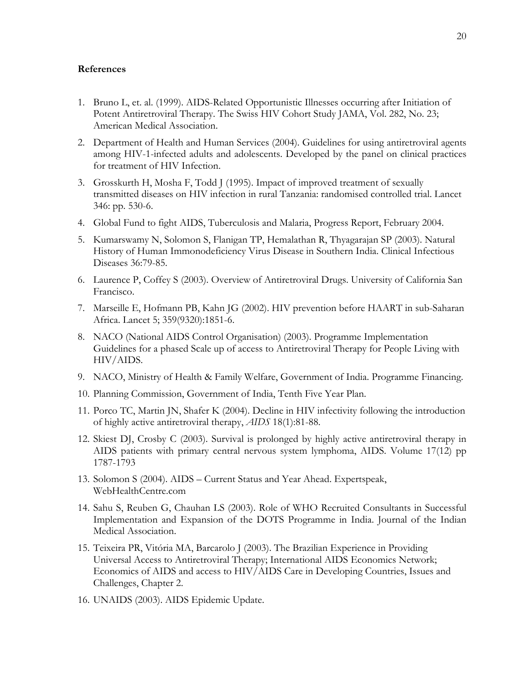# **References**

- 1. Bruno L, et. al. (1999). AIDS-Related Opportunistic Illnesses occurring after Initiation of Potent Antiretroviral Therapy. The Swiss HIV Cohort Study JAMA, Vol. 282, No. 23; American Medical Association.
- 2. Department of Health and Human Services (2004). Guidelines for using antiretroviral agents among HIV-1-infected adults and adolescents. Developed by the panel on clinical practices for treatment of HIV Infection.
- 3. Grosskurth H, Mosha F, Todd J (1995). Impact of improved treatment of sexually transmitted diseases on HIV infection in rural Tanzania: randomised controlled trial. Lancet 346: pp. 530-6.
- 4. Global Fund to fight AIDS, Tuberculosis and Malaria, Progress Report, February 2004.
- 5. Kumarswamy N, Solomon S, Flanigan TP, Hemalathan R, Thyagarajan SP (2003). Natural History of Human Immonodeficiency Virus Disease in Southern India. Clinical Infectious Diseases 36:79-85.
- 6. Laurence P, Coffey S (2003). Overview of Antiretroviral Drugs. University of California San Francisco.
- 7. Marseille E, Hofmann PB, Kahn JG (2002). HIV prevention before HAART in sub-Saharan Africa. Lancet 5; 359(9320):1851-6.
- 8. NACO (National AIDS Control Organisation) (2003). Programme Implementation Guidelines for a phased Scale up of access to Antiretroviral Therapy for People Living with HIV/AIDS.
- 9. NACO, Ministry of Health & Family Welfare, Government of India. Programme Financing.
- 10. Planning Commission, Government of India, Tenth Five Year Plan.
- 11. Porco TC, Martin JN, Shafer K (2004). Decline in HIV infectivity following the introduction of highly active antiretroviral therapy, *AIDS* 18(1):81-88.
- 12. Skiest DJ, Crosby C (2003). Survival is prolonged by highly active antiretroviral therapy in AIDS patients with primary central nervous system lymphoma, AIDS. Volume 17(12) pp 1787-1793
- 13. Solomon S (2004). AIDS Current Status and Year Ahead. Expertspeak, WebHealthCentre.com
- 14. Sahu S, Reuben G, Chauhan LS (2003). Role of WHO Recruited Consultants in Successful Implementation and Expansion of the DOTS Programme in India. Journal of the Indian Medical Association.
- 15. Teixeira PR, Vitória MA, Barcarolo J (2003). The Brazilian Experience in Providing Universal Access to Antiretroviral Therapy; International AIDS Economics Network; Economics of AIDS and access to HIV/AIDS Care in Developing Countries, Issues and Challenges, Chapter 2.
- 16. UNAIDS (2003). AIDS Epidemic Update.